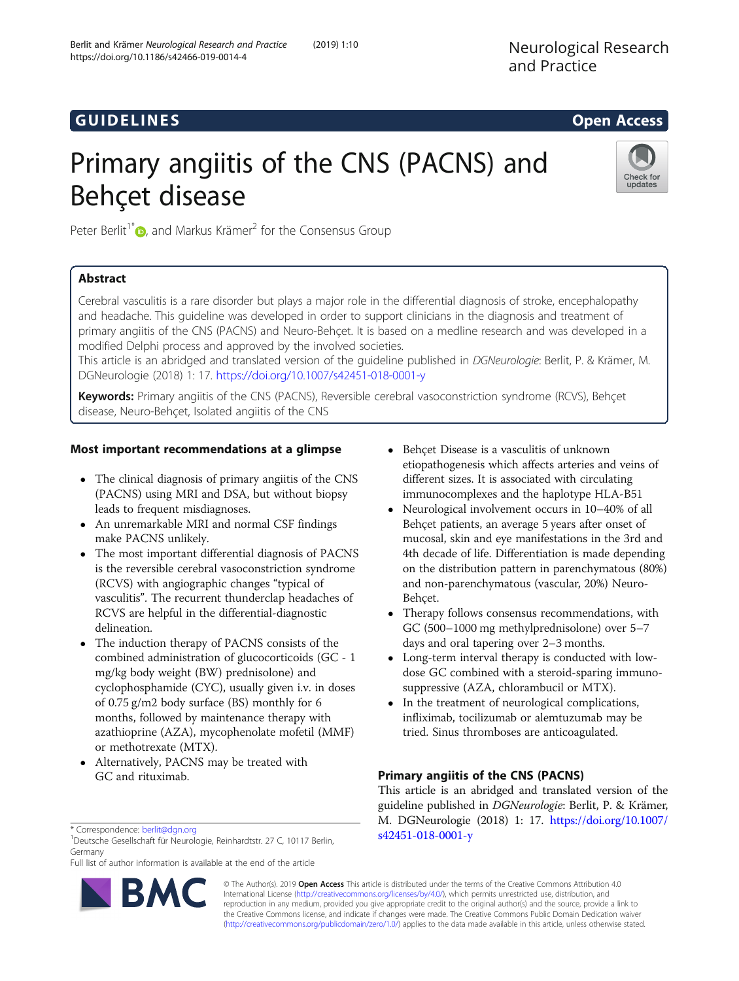# **GUIDELINES** (GUIDELINES)

# Primary angiitis of the CNS (PACNS) and Behçet disease



Peter Berlit<sup>1\*</sup> $\bullet$ [,](http://orcid.org/0000-0002-9544-7256) and Markus Krämer<sup>2</sup> for the Consensus Group

# Abstract

Cerebral vasculitis is a rare disorder but plays a major role in the differential diagnosis of stroke, encephalopathy and headache. This guideline was developed in order to support clinicians in the diagnosis and treatment of primary angiitis of the CNS (PACNS) and Neuro-Behçet. It is based on a medline research and was developed in a modified Delphi process and approved by the involved societies.

This article is an abridged and translated version of the guideline published in DGNeurologie: Berlit, P. & Krämer, M. DGNeurologie (2018) 1: 17. <https://doi.org/10.1007/s42451-018-0001-y>

Keywords: Primary angiitis of the CNS (PACNS), Reversible cerebral vasoconstriction syndrome (RCVS), Behçet disease, Neuro-Behçet, Isolated angiitis of the CNS

## Most important recommendations at a glimpse

- The clinical diagnosis of primary angiitis of the CNS (PACNS) using MRI and DSA, but without biopsy leads to frequent misdiagnoses.
- An unremarkable MRI and normal CSF findings make PACNS unlikely.
- The most important differential diagnosis of PACNS is the reversible cerebral vasoconstriction syndrome (RCVS) with angiographic changes "typical of vasculitis". The recurrent thunderclap headaches of RCVS are helpful in the differential-diagnostic delineation.
- The induction therapy of PACNS consists of the combined administration of glucocorticoids (GC - 1 mg/kg body weight (BW) prednisolone) and cyclophosphamide (CYC), usually given i.v. in doses of 0.75 g/m2 body surface (BS) monthly for 6 months, followed by maintenance therapy with azathioprine (AZA), mycophenolate mofetil (MMF) or methotrexate (MTX).
- Alternatively, PACNS may be treated with GC and rituximab.
- Neurological involvement occurs in 10–40% of all Behçet patients, an average 5 years after onset of mucosal, skin and eye manifestations in the 3rd and 4th decade of life. Differentiation is made depending on the distribution pattern in parenchymatous (80%) and non-parenchymatous (vascular, 20%) Neuro-Behçet.
- Therapy follows consensus recommendations, with GC (500–1000 mg methylprednisolone) over 5–7 days and oral tapering over 2–3 months.
- Long-term interval therapy is conducted with lowdose GC combined with a steroid-sparing immunosuppressive (AZA, chlorambucil or MTX).
- In the treatment of neurological complications, infliximab, tocilizumab or alemtuzumab may be tried. Sinus thromboses are anticoagulated.

# Primary angiitis of the CNS (PACNS)

This article is an abridged and translated version of the guideline published in DGNeurologie: Berlit, P. & Krämer, M. DGNeurologie (2018) 1: 17. [https://doi.org/10.1007/](https://doi.org/10.1007/s42451-018-0001-y) [s42451-018-0001-y](https://doi.org/10.1007/s42451-018-0001-y)

\* Correspondence: [berlit@dgn.org](mailto:berlit@dgn.org) <sup>1</sup>

<sup>1</sup>Deutsche Gesellschaft für Neurologie, Reinhardtstr. 27 C, 10117 Berlin, Germany

Full list of author information is available at the end of the article



© The Author(s). 2019 **Open Access** This article is distributed under the terms of the Creative Commons Attribution 4.0 International License [\(http://creativecommons.org/licenses/by/4.0/](http://creativecommons.org/licenses/by/4.0/)), which permits unrestricted use, distribution, and reproduction in any medium, provided you give appropriate credit to the original author(s) and the source, provide a link to the Creative Commons license, and indicate if changes were made. The Creative Commons Public Domain Dedication waiver [\(http://creativecommons.org/publicdomain/zero/1.0/](http://creativecommons.org/publicdomain/zero/1.0/)) applies to the data made available in this article, unless otherwise stated.

<sup>•</sup> Behçet Disease is a vasculitis of unknown etiopathogenesis which affects arteries and veins of different sizes. It is associated with circulating immunocomplexes and the haplotype HLA-B51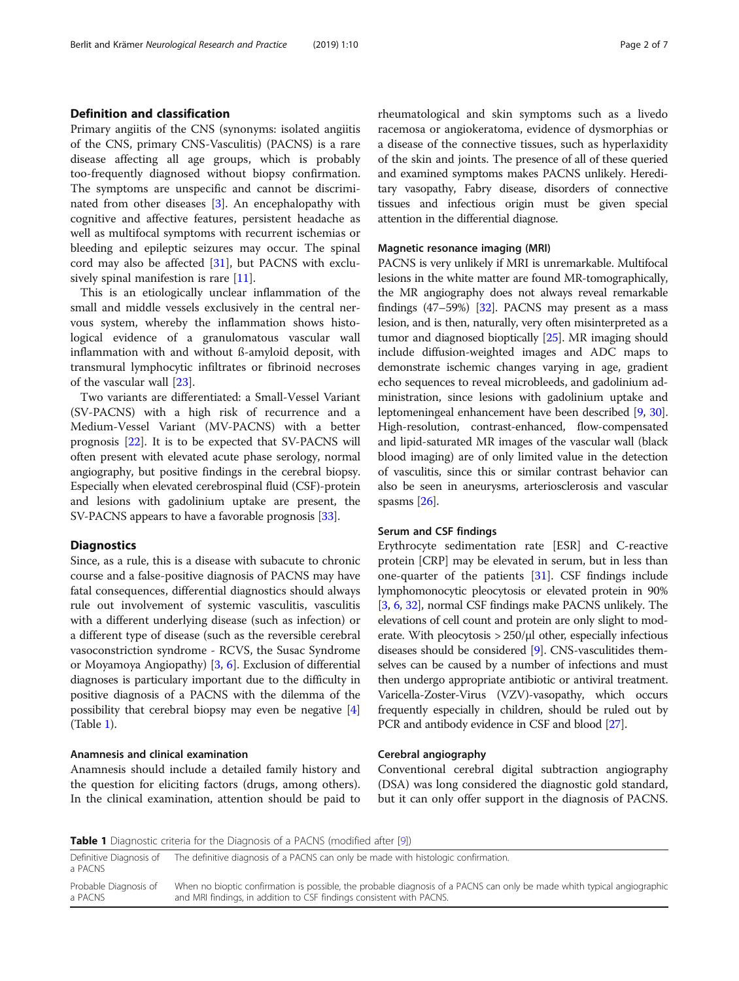## Definition and classification

Primary angiitis of the CNS (synonyms: isolated angiitis of the CNS, primary CNS-Vasculitis) (PACNS) is a rare disease affecting all age groups, which is probably too-frequently diagnosed without biopsy confirmation. The symptoms are unspecific and cannot be discriminated from other diseases [\[3](#page-5-0)]. An encephalopathy with cognitive and affective features, persistent headache as well as multifocal symptoms with recurrent ischemias or bleeding and epileptic seizures may occur. The spinal cord may also be affected [\[31\]](#page-6-0), but PACNS with exclu-sively spinal manifestion is rare [\[11\]](#page-5-0).

This is an etiologically unclear inflammation of the small and middle vessels exclusively in the central nervous system, whereby the inflammation shows histological evidence of a granulomatous vascular wall inflammation with and without ß-amyloid deposit, with transmural lymphocytic infiltrates or fibrinoid necroses of the vascular wall [\[23\]](#page-5-0).

Two variants are differentiated: a Small-Vessel Variant (SV-PACNS) with a high risk of recurrence and a Medium-Vessel Variant (MV-PACNS) with a better prognosis [\[22](#page-5-0)]. It is to be expected that SV-PACNS will often present with elevated acute phase serology, normal angiography, but positive findings in the cerebral biopsy. Especially when elevated cerebrospinal fluid (CSF)-protein and lesions with gadolinium uptake are present, the SV-PACNS appears to have a favorable prognosis [\[33](#page-6-0)].

#### **Diagnostics**

Since, as a rule, this is a disease with subacute to chronic course and a false-positive diagnosis of PACNS may have fatal consequences, differential diagnostics should always rule out involvement of systemic vasculitis, vasculitis with a different underlying disease (such as infection) or a different type of disease (such as the reversible cerebral vasoconstriction syndrome - RCVS, the Susac Syndrome or Moyamoya Angiopathy) [[3,](#page-5-0) [6\]](#page-5-0). Exclusion of differential diagnoses is particulary important due to the difficulty in positive diagnosis of a PACNS with the dilemma of the possibility that cerebral biopsy may even be negative [[4](#page-5-0)] (Table 1).

#### Anamnesis and clinical examination

Anamnesis should include a detailed family history and the question for eliciting factors (drugs, among others). In the clinical examination, attention should be paid to

rheumatological and skin symptoms such as a livedo racemosa or angiokeratoma, evidence of dysmorphias or a disease of the connective tissues, such as hyperlaxidity of the skin and joints. The presence of all of these queried and examined symptoms makes PACNS unlikely. Hereditary vasopathy, Fabry disease, disorders of connective tissues and infectious origin must be given special attention in the differential diagnose.

#### Magnetic resonance imaging (MRI)

PACNS is very unlikely if MRI is unremarkable. Multifocal lesions in the white matter are found MR-tomographically, the MR angiography does not always reveal remarkable findings (47–59%) [[32](#page-6-0)]. PACNS may present as a mass lesion, and is then, naturally, very often misinterpreted as a tumor and diagnosed bioptically [\[25\]](#page-5-0). MR imaging should include diffusion-weighted images and ADC maps to demonstrate ischemic changes varying in age, gradient echo sequences to reveal microbleeds, and gadolinium administration, since lesions with gadolinium uptake and leptomeningeal enhancement have been described [[9,](#page-5-0) [30](#page-6-0)]. High-resolution, contrast-enhanced, flow-compensated and lipid-saturated MR images of the vascular wall (black blood imaging) are of only limited value in the detection of vasculitis, since this or similar contrast behavior can also be seen in aneurysms, arteriosclerosis and vascular spasms [\[26\]](#page-5-0).

#### Serum and CSF findings

Erythrocyte sedimentation rate [ESR] and C-reactive protein [CRP] may be elevated in serum, but in less than one-quarter of the patients [\[31\]](#page-6-0). CSF findings include lymphomonocytic pleocytosis or elevated protein in 90% [[3,](#page-5-0) [6](#page-5-0), [32\]](#page-6-0), normal CSF findings make PACNS unlikely. The elevations of cell count and protein are only slight to moderate. With pleocytosis > 250/μl other, especially infectious diseases should be considered [[9](#page-5-0)]. CNS-vasculitides themselves can be caused by a number of infections and must then undergo appropriate antibiotic or antiviral treatment. Varicella-Zoster-Virus (VZV)-vasopathy, which occurs frequently especially in children, should be ruled out by PCR and antibody evidence in CSF and blood [\[27](#page-6-0)].

#### Cerebral angiography

Conventional cerebral digital subtraction angiography (DSA) was long considered the diagnostic gold standard, but it can only offer support in the diagnosis of PACNS.

**Table 1** Diagnostic criteria for the Diagnosis of a PACNS (modified after [[9](#page-5-0)])

| Definitive Diagnosis of<br>a PACNS | The definitive diagnosis of a PACNS can only be made with histologic confirmation.                                                                                                              |
|------------------------------------|-------------------------------------------------------------------------------------------------------------------------------------------------------------------------------------------------|
| Probable Diagnosis of<br>a PACNS   | When no bioptic confirmation is possible, the probable diagnosis of a PACNS can only be made whith typical angiographic<br>and MRI findings, in addition to CSF findings consistent with PACNS. |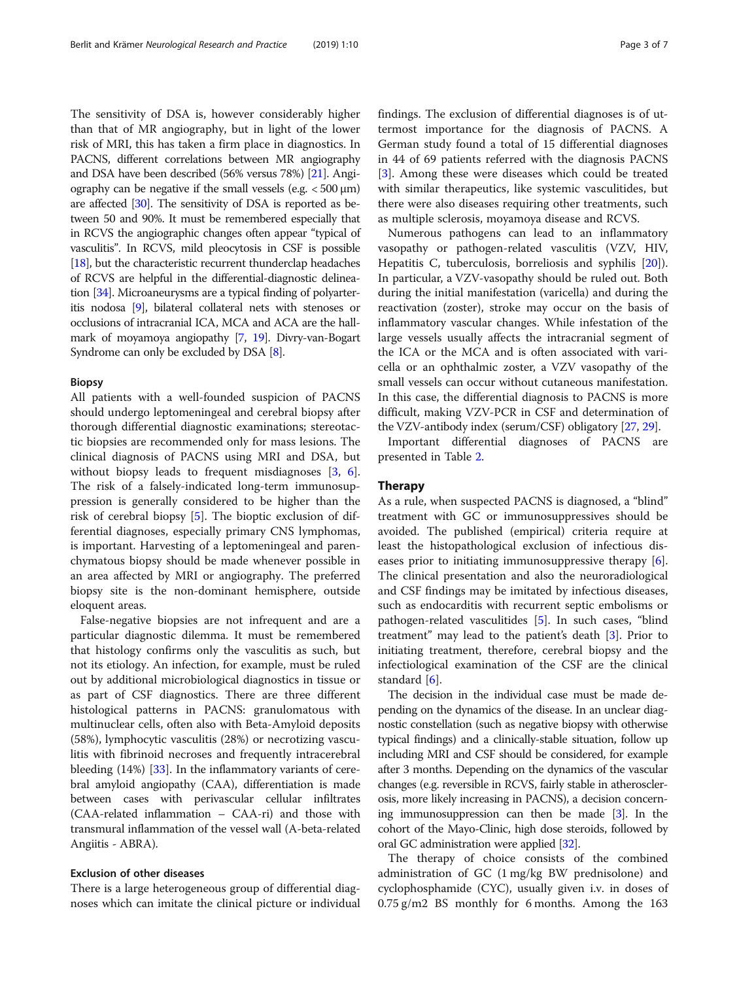The sensitivity of DSA is, however considerably higher than that of MR angiography, but in light of the lower risk of MRI, this has taken a firm place in diagnostics. In PACNS, different correlations between MR angiography and DSA have been described (56% versus 78%) [\[21](#page-5-0)]. Angiography can be negative if the small vessels (e.g.  $<$  500  $\mu$ m) are affected [[30](#page-6-0)]. The sensitivity of DSA is reported as between 50 and 90%. It must be remembered especially that in RCVS the angiographic changes often appear "typical of vasculitis". In RCVS, mild pleocytosis in CSF is possible [[18](#page-5-0)], but the characteristic recurrent thunderclap headaches of RCVS are helpful in the differential-diagnostic delineation [[34](#page-6-0)]. Microaneurysms are a typical finding of polyarteritis nodosa [\[9\]](#page-5-0), bilateral collateral nets with stenoses or occlusions of intracranial ICA, MCA and ACA are the hallmark of moyamoya angiopathy [\[7,](#page-5-0) [19](#page-5-0)]. Divry-van-Bogart Syndrome can only be excluded by DSA [\[8\]](#page-5-0).

#### Biopsy

All patients with a well-founded suspicion of PACNS should undergo leptomeningeal and cerebral biopsy after thorough differential diagnostic examinations; stereotactic biopsies are recommended only for mass lesions. The clinical diagnosis of PACNS using MRI and DSA, but without biopsy leads to frequent misdiagnoses [[3,](#page-5-0) [6](#page-5-0)]. The risk of a falsely-indicated long-term immunosuppression is generally considered to be higher than the risk of cerebral biopsy [[5\]](#page-5-0). The bioptic exclusion of differential diagnoses, especially primary CNS lymphomas, is important. Harvesting of a leptomeningeal and parenchymatous biopsy should be made whenever possible in an area affected by MRI or angiography. The preferred biopsy site is the non-dominant hemisphere, outside eloquent areas.

False-negative biopsies are not infrequent and are a particular diagnostic dilemma. It must be remembered that histology confirms only the vasculitis as such, but not its etiology. An infection, for example, must be ruled out by additional microbiological diagnostics in tissue or as part of CSF diagnostics. There are three different histological patterns in PACNS: granulomatous with multinuclear cells, often also with Beta-Amyloid deposits (58%), lymphocytic vasculitis (28%) or necrotizing vasculitis with fibrinoid necroses and frequently intracerebral bleeding (14%) [[33](#page-6-0)]. In the inflammatory variants of cerebral amyloid angiopathy (CAA), differentiation is made between cases with perivascular cellular infiltrates (CAA-related inflammation – CAA-ri) and those with transmural inflammation of the vessel wall (A-beta-related Angiitis - ABRA).

### Exclusion of other diseases

There is a large heterogeneous group of differential diagnoses which can imitate the clinical picture or individual findings. The exclusion of differential diagnoses is of uttermost importance for the diagnosis of PACNS. A German study found a total of 15 differential diagnoses in 44 of 69 patients referred with the diagnosis PACNS [[3\]](#page-5-0). Among these were diseases which could be treated with similar therapeutics, like systemic vasculitides, but there were also diseases requiring other treatments, such as multiple sclerosis, moyamoya disease and RCVS.

Numerous pathogens can lead to an inflammatory vasopathy or pathogen-related vasculitis (VZV, HIV, Hepatitis C, tuberculosis, borreliosis and syphilis [\[20](#page-5-0)]). In particular, a VZV-vasopathy should be ruled out. Both during the initial manifestation (varicella) and during the reactivation (zoster), stroke may occur on the basis of inflammatory vascular changes. While infestation of the large vessels usually affects the intracranial segment of the ICA or the MCA and is often associated with varicella or an ophthalmic zoster, a VZV vasopathy of the small vessels can occur without cutaneous manifestation. In this case, the differential diagnosis to PACNS is more difficult, making VZV-PCR in CSF and determination of the VZV-antibody index (serum/CSF) obligatory [[27](#page-6-0), [29\]](#page-6-0).

Important differential diagnoses of PACNS are presented in Table [2](#page-3-0).

#### Therapy

As a rule, when suspected PACNS is diagnosed, a "blind" treatment with GC or immunosuppressives should be avoided. The published (empirical) criteria require at least the histopathological exclusion of infectious diseases prior to initiating immunosuppressive therapy [\[6](#page-5-0)]. The clinical presentation and also the neuroradiological and CSF findings may be imitated by infectious diseases, such as endocarditis with recurrent septic embolisms or pathogen-related vasculitides [[5](#page-5-0)]. In such cases, "blind treatment" may lead to the patient's death [\[3](#page-5-0)]. Prior to initiating treatment, therefore, cerebral biopsy and the infectiological examination of the CSF are the clinical standard [\[6](#page-5-0)].

The decision in the individual case must be made depending on the dynamics of the disease. In an unclear diagnostic constellation (such as negative biopsy with otherwise typical findings) and a clinically-stable situation, follow up including MRI and CSF should be considered, for example after 3 months. Depending on the dynamics of the vascular changes (e.g. reversible in RCVS, fairly stable in atherosclerosis, more likely increasing in PACNS), a decision concerning immunosuppression can then be made [\[3](#page-5-0)]. In the cohort of the Mayo-Clinic, high dose steroids, followed by oral GC administration were applied [\[32\]](#page-6-0).

The therapy of choice consists of the combined administration of GC (1 mg/kg BW prednisolone) and cyclophosphamide (CYC), usually given i.v. in doses of 0.75 g/m2 BS monthly for 6 months. Among the 163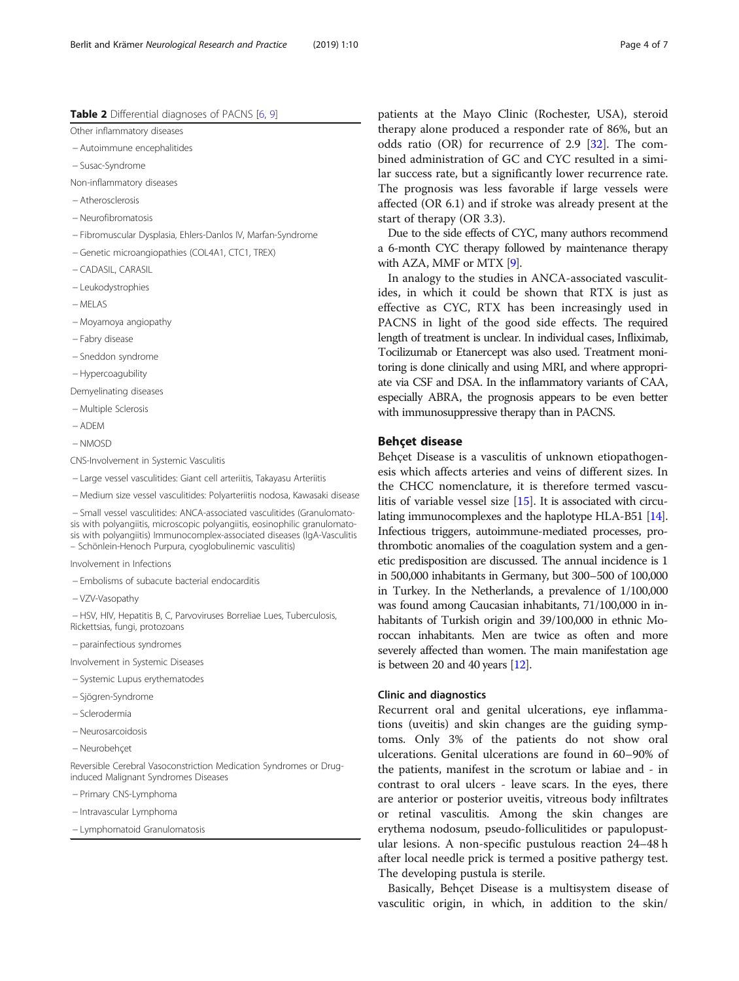<span id="page-3-0"></span>Other inflammatory diseases

− Autoimmune encephalitides

− Susac-Syndrome

Non-inflammatory diseases

− Atherosclerosis

- − Neurofibromatosis
- − Fibromuscular Dysplasia, Ehlers-Danlos IV, Marfan-Syndrome

− Genetic microangiopathies (COL4A1, CTC1, TREX)

- − CADASIL, CARASIL
- − Leukodystrophies
- − MELAS

− Moyamoya angiopathy

- − Fabry disease
- − Sneddon syndrome
- − Hypercoagubility

Demyelinating diseases

- − Multiple Sclerosis
- − ADEM
- − NMOSD

CNS-Involvement in Systemic Vasculitis

- − Large vessel vasculitides: Giant cell arteriitis, Takayasu Arteriitis
- − Medium size vessel vasculitides: Polyarteriitis nodosa, Kawasaki disease

− Small vessel vasculitides: ANCA-associated vasculitides (Granulomatosis with polyangiitis, microscopic polyangiitis, eosinophilic granulomatosis with polyangiitis) Immunocomplex-associated diseases (IgA-Vasculitis – Schönlein-Henoch Purpura, cyoglobulinemic vasculitis)

Involvement in Infections

- − Embolisms of subacute bacterial endocarditis
- − VZV-Vasopathy

− HSV, HIV, Hepatitis B, C, Parvoviruses Borreliae Lues, Tuberculosis, Rickettsias, fungi, protozoans

− parainfectious syndromes

Involvement in Systemic Diseases

- − Systemic Lupus erythematodes
- − Sjögren-Syndrome
- − Sclerodermia
- − Neurosarcoidosis
- − Neurobehçet

Reversible Cerebral Vasoconstriction Medication Syndromes or Druginduced Malignant Syndromes Diseases

- − Primary CNS-Lymphoma
- − Intravascular Lymphoma
- − Lymphomatoid Granulomatosis

patients at the Mayo Clinic (Rochester, USA), steroid therapy alone produced a responder rate of 86%, but an odds ratio (OR) for recurrence of 2.9 [\[32\]](#page-6-0). The combined administration of GC and CYC resulted in a similar success rate, but a significantly lower recurrence rate. The prognosis was less favorable if large vessels were affected (OR 6.1) and if stroke was already present at the start of therapy (OR 3.3).

Due to the side effects of CYC, many authors recommend a 6-month CYC therapy followed by maintenance therapy with AZA, MMF or MTX [\[9\]](#page-5-0).

In analogy to the studies in ANCA-associated vasculitides, in which it could be shown that RTX is just as effective as CYC, RTX has been increasingly used in PACNS in light of the good side effects. The required length of treatment is unclear. In individual cases, Infliximab, Tocilizumab or Etanercept was also used. Treatment monitoring is done clinically and using MRI, and where appropriate via CSF and DSA. In the inflammatory variants of CAA, especially ABRA, the prognosis appears to be even better with immunosuppressive therapy than in PACNS.

#### Behçet disease

Behçet Disease is a vasculitis of unknown etiopathogenesis which affects arteries and veins of different sizes. In the CHCC nomenclature, it is therefore termed vasculitis of variable vessel size [\[15\]](#page-5-0). It is associated with circulating immunocomplexes and the haplotype HLA-B51 [\[14](#page-5-0)]. Infectious triggers, autoimmune-mediated processes, prothrombotic anomalies of the coagulation system and a genetic predisposition are discussed. The annual incidence is 1 in 500,000 inhabitants in Germany, but 300–500 of 100,000 in Turkey. In the Netherlands, a prevalence of 1/100,000 was found among Caucasian inhabitants, 71/100,000 in inhabitants of Turkish origin and 39/100,000 in ethnic Moroccan inhabitants. Men are twice as often and more severely affected than women. The main manifestation age is between 20 and 40 years [\[12\]](#page-5-0).

#### Clinic and diagnostics

Recurrent oral and genital ulcerations, eye inflammations (uveitis) and skin changes are the guiding symptoms. Only 3% of the patients do not show oral ulcerations. Genital ulcerations are found in 60–90% of the patients, manifest in the scrotum or labiae and - in contrast to oral ulcers - leave scars. In the eyes, there are anterior or posterior uveitis, vitreous body infiltrates or retinal vasculitis. Among the skin changes are erythema nodosum, pseudo-folliculitides or papulopustular lesions. A non-specific pustulous reaction 24–48 h after local needle prick is termed a positive pathergy test. The developing pustula is sterile.

Basically, Behçet Disease is a multisystem disease of vasculitic origin, in which, in addition to the skin/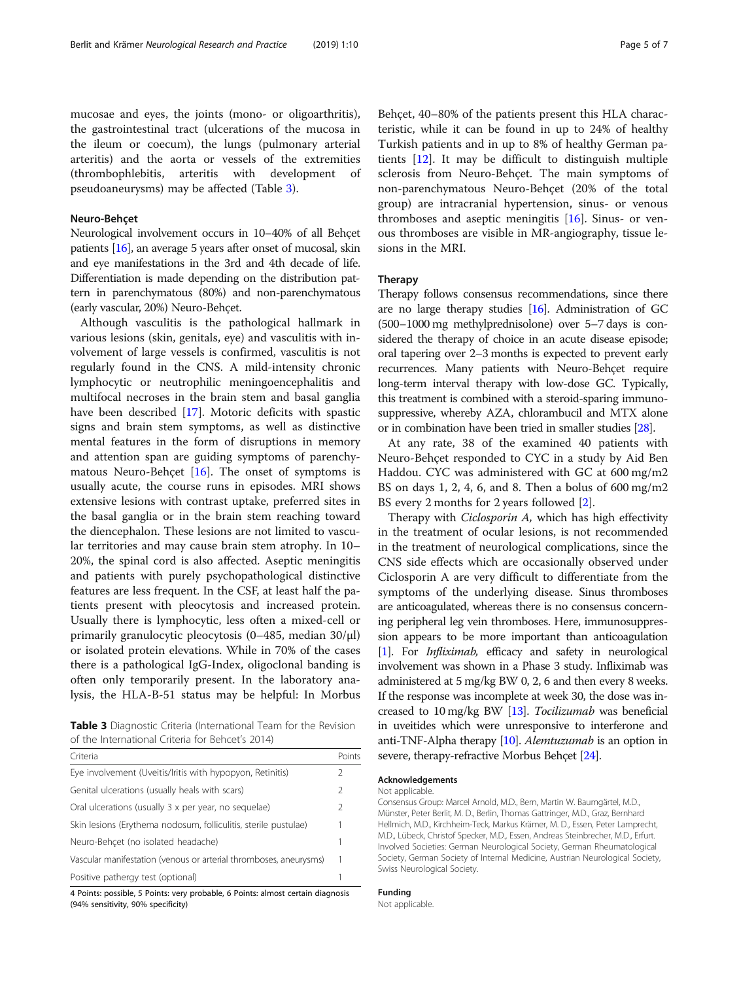mucosae and eyes, the joints (mono- or oligoarthritis), the gastrointestinal tract (ulcerations of the mucosa in the ileum or coecum), the lungs (pulmonary arterial arteritis) and the aorta or vessels of the extremities (thrombophlebitis, arteritis with development of pseudoaneurysms) may be affected (Table 3).

#### Neuro-Behçet

Neurological involvement occurs in 10–40% of all Behçet patients [\[16\]](#page-5-0), an average 5 years after onset of mucosal, skin and eye manifestations in the 3rd and 4th decade of life. Differentiation is made depending on the distribution pattern in parenchymatous (80%) and non-parenchymatous (early vascular, 20%) Neuro-Behçet.

Although vasculitis is the pathological hallmark in various lesions (skin, genitals, eye) and vasculitis with involvement of large vessels is confirmed, vasculitis is not regularly found in the CNS. A mild-intensity chronic lymphocytic or neutrophilic meningoencephalitis and multifocal necroses in the brain stem and basal ganglia have been described [[17\]](#page-5-0). Motoric deficits with spastic signs and brain stem symptoms, as well as distinctive mental features in the form of disruptions in memory and attention span are guiding symptoms of parenchymatous Neuro-Behçet [[16\]](#page-5-0). The onset of symptoms is usually acute, the course runs in episodes. MRI shows extensive lesions with contrast uptake, preferred sites in the basal ganglia or in the brain stem reaching toward the diencephalon. These lesions are not limited to vascular territories and may cause brain stem atrophy. In 10– 20%, the spinal cord is also affected. Aseptic meningitis and patients with purely psychopathological distinctive features are less frequent. In the CSF, at least half the patients present with pleocytosis and increased protein. Usually there is lymphocytic, less often a mixed-cell or primarily granulocytic pleocytosis (0–485, median 30/μl) or isolated protein elevations. While in 70% of the cases there is a pathological IgG-Index, oligoclonal banding is often only temporarily present. In the laboratory analysis, the HLA-B-51 status may be helpful: In Morbus

Table 3 Diagnostic Criteria (International Team for the Revision of the International Criteria for Behcet's 2014)

| Criteria                                                          | Points |
|-------------------------------------------------------------------|--------|
| Eye involvement (Uveitis/Iritis with hypopyon, Retinitis)         |        |
| Genital ulcerations (usually heals with scars)                    |        |
| Oral ulcerations (usually 3 x per year, no sequelae)              | 2      |
| Skin lesions (Erythema nodosum, folliculitis, sterile pustulae)   | 1      |
| Neuro-Behcet (no isolated headache)                               |        |
| Vascular manifestation (venous or arterial thromboses, aneurysms) |        |
| Positive pathergy test (optional)                                 |        |

4 Points: possible, 5 Points: very probable, 6 Points: almost certain diagnosis (94% sensitivity, 90% specificity)

Behçet, 40–80% of the patients present this HLA characteristic, while it can be found in up to 24% of healthy Turkish patients and in up to 8% of healthy German patients [[12\]](#page-5-0). It may be difficult to distinguish multiple sclerosis from Neuro-Behçet. The main symptoms of non-parenchymatous Neuro-Behçet (20% of the total group) are intracranial hypertension, sinus- or venous thromboses and aseptic meningitis [\[16\]](#page-5-0). Sinus- or venous thromboses are visible in MR-angiography, tissue lesions in the MRI.

#### Therapy

Therapy follows consensus recommendations, since there are no large therapy studies [[16](#page-5-0)]. Administration of GC (500–1000 mg methylprednisolone) over 5–7 days is considered the therapy of choice in an acute disease episode; oral tapering over 2–3 months is expected to prevent early recurrences. Many patients with Neuro-Behçet require long-term interval therapy with low-dose GC. Typically, this treatment is combined with a steroid-sparing immunosuppressive, whereby AZA, chlorambucil and MTX alone or in combination have been tried in smaller studies [\[28](#page-6-0)].

At any rate, 38 of the examined 40 patients with Neuro-Behçet responded to CYC in a study by Aid Ben Haddou. CYC was administered with GC at 600 mg/m2 BS on days 1, 2, 4, 6, and 8. Then a bolus of 600 mg/m2 BS every 2 months for 2 years followed [[2](#page-5-0)].

Therapy with *Ciclosporin A*, which has high effectivity in the treatment of ocular lesions, is not recommended in the treatment of neurological complications, since the CNS side effects which are occasionally observed under Ciclosporin A are very difficult to differentiate from the symptoms of the underlying disease. Sinus thromboses are anticoagulated, whereas there is no consensus concerning peripheral leg vein thromboses. Here, immunosuppression appears to be more important than anticoagulation [[1](#page-5-0)]. For *Infliximab*, efficacy and safety in neurological involvement was shown in a Phase 3 study. Infliximab was administered at 5 mg/kg BW 0, 2, 6 and then every 8 weeks. If the response was incomplete at week 30, the dose was increased to 10 mg/kg BW [\[13\]](#page-5-0). Tocilizumab was beneficial in uveitides which were unresponsive to interferone and anti-TNF-Alpha therapy [\[10](#page-5-0)]. Alemtuzumab is an option in severe, therapy-refractive Morbus Behçet [\[24\]](#page-5-0).

#### Acknowledgements

Not applicable.

Consensus Group: Marcel Arnold, M.D., Bern, Martin W. Baumgärtel, M.D., Münster, Peter Berlit, M. D., Berlin, Thomas Gattringer, M.D., Graz, Bernhard Hellmich, M.D., Kirchheim-Teck, Markus Krämer, M. D., Essen, Peter Lamprecht, M.D., Lübeck, Christof Specker, M.D., Essen, Andreas Steinbrecher, M.D., Erfurt. Involved Societies: German Neurological Society, German Rheumatological Society, German Society of Internal Medicine, Austrian Neurological Society, Swiss Neurological Society.

#### Funding

Not applicable.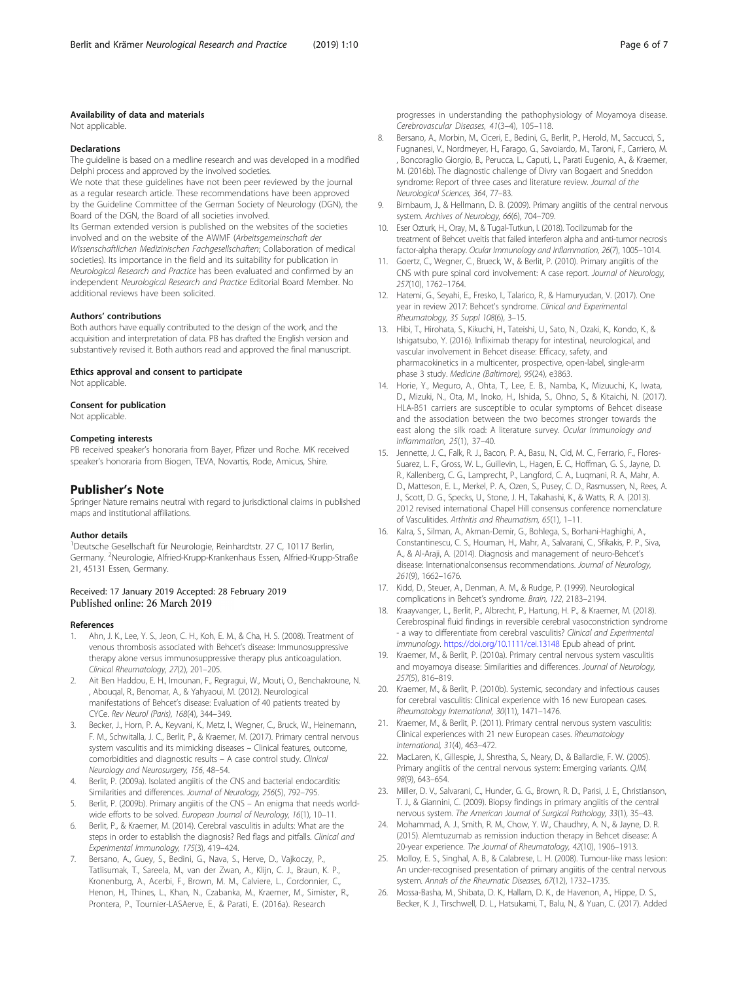#### <span id="page-5-0"></span>Availability of data and materials

Not applicable.

#### Declarations

The guideline is based on a medline research and was developed in a modified Delphi process and approved by the involved societies.

We note that these guidelines have not been peer reviewed by the journal as a regular research article. These recommendations have been approved by the Guideline Committee of the German Society of Neurology (DGN), the Board of the DGN, the Board of all societies involved.

Its German extended version is published on the websites of the societies involved and on the website of the AWMF (Arbeitsgemeinschaft der Wissenschaftlichen Medizinischen Fachgesellschaften; Collaboration of medical societies). Its importance in the field and its suitability for publication in Neurological Research and Practice has been evaluated and confirmed by an independent Neurological Research and Practice Editorial Board Member. No additional reviews have been solicited.

#### Authors' contributions

Both authors have equally contributed to the design of the work, and the acquisition and interpretation of data. PB has drafted the English version and substantively revised it. Both authors read and approved the final manuscript.

# Ethics approval and consent to participate

Not applicable.

#### Consent for publication

Not applicable.

#### Competing interests

PB received speaker's honoraria from Bayer, Pfizer und Roche. MK received speaker's honoraria from Biogen, TEVA, Novartis, Rode, Amicus, Shire.

#### Publisher's Note

Springer Nature remains neutral with regard to jurisdictional claims in published maps and institutional affiliations.

#### Author details

<sup>1</sup>Deutsche Gesellschaft für Neurologie, Reinhardtstr. 27 C, 10117 Berlin, Germany. <sup>2</sup>Neurologie, Alfried-Krupp-Krankenhaus Essen, Alfried-Krupp-Straße 21, 45131 Essen, Germany.

#### Received: 17 January 2019 Accepted: 28 February 2019 Published online: 26 March 2019

#### References

- 1. Ahn, J. K., Lee, Y. S., Jeon, C. H., Koh, E. M., & Cha, H. S. (2008). Treatment of venous thrombosis associated with Behcet's disease: Immunosuppressive therapy alone versus immunosuppressive therapy plus anticoagulation. Clinical Rheumatology, 27(2), 201–205.
- 2. Ait Ben Haddou, E. H., Imounan, F., Regragui, W., Mouti, O., Benchakroune, N. , Abouqal, R., Benomar, A., & Yahyaoui, M. (2012). Neurological manifestations of Behcet's disease: Evaluation of 40 patients treated by CYCe. Rev Neurol (Paris), 168(4), 344–349.
- 3. Becker, J., Horn, P. A., Keyvani, K., Metz, I., Wegner, C., Bruck, W., Heinemann, F. M., Schwitalla, J. C., Berlit, P., & Kraemer, M. (2017). Primary central nervous system vasculitis and its mimicking diseases – Clinical features, outcome, comorbidities and diagnostic results – A case control study. Clinical Neurology and Neurosurgery, 156, 48–54.
- 4. Berlit, P. (2009a). Isolated angiitis of the CNS and bacterial endocarditis: Similarities and differences. Journal of Neurology, 256(5), 792–795.
- Berlit, P. (2009b). Primary angiitis of the CNS An enigma that needs worldwide efforts to be solved. European Journal of Neurology, 16(1), 10-11.
- 6. Berlit, P., & Kraemer, M. (2014). Cerebral vasculitis in adults: What are the steps in order to establish the diagnosis? Red flags and pitfalls. Clinical and Experimental Immunology, 175(3), 419–424.
- Bersano, A., Guey, S., Bedini, G., Nava, S., Herve, D., Vajkoczy, P., Tatlisumak, T., Sareela, M., van der Zwan, A., Klijn, C. J., Braun, K. P., Kronenburg, A., Acerbi, F., Brown, M. M., Calviere, L., Cordonnier, C., Henon, H., Thines, L., Khan, N., Czabanka, M., Kraemer, M., Simister, R., Prontera, P., Tournier-LASAerve, E., & Parati, E. (2016a). Research

progresses in understanding the pathophysiology of Moyamoya disease. Cerebrovascular Diseases, 41(3–4), 105–118.

- 8. Bersano, A., Morbin, M., Ciceri, E., Bedini, G., Berlit, P., Herold, M., Saccucci, S., Fugnanesi, V., Nordmeyer, H., Farago, G., Savoiardo, M., Taroni, F., Carriero, M. , Boncoraglio Giorgio, B., Perucca, L., Caputi, L., Parati Eugenio, A., & Kraemer, M. (2016b). The diagnostic challenge of Divry van Bogaert and Sneddon syndrome: Report of three cases and literature review. Journal of the Neurological Sciences, 364, 77–83.
- 9. Birnbaum, J., & Hellmann, D. B. (2009). Primary angiitis of the central nervous system. Archives of Neurology, 66(6), 704–709.
- 10. Eser Ozturk, H., Oray, M., & Tugal-Tutkun, I. (2018). Tocilizumab for the treatment of Behcet uveitis that failed interferon alpha and anti-tumor necrosis factor-alpha therapy. Ocular Immunology and Inflammation, 26(7), 1005–1014.
- 11. Goertz, C., Wegner, C., Brueck, W., & Berlit, P. (2010). Primary angiitis of the CNS with pure spinal cord involvement: A case report. Journal of Neurology, 257(10), 1762–1764.
- 12. Hatemi, G., Seyahi, E., Fresko, I., Talarico, R., & Hamuryudan, V. (2017). One year in review 2017: Behcet's syndrome. Clinical and Experimental Rheumatology, 35 Suppl 108(6), 3–15.
- 13. Hibi, T., Hirohata, S., Kikuchi, H., Tateishi, U., Sato, N., Ozaki, K., Kondo, K., & Ishigatsubo, Y. (2016). Infliximab therapy for intestinal, neurological, and vascular involvement in Behcet disease: Efficacy, safety, and pharmacokinetics in a multicenter, prospective, open-label, single-arm phase 3 study. Medicine (Baltimore), 95(24), e3863.
- 14. Horie, Y., Meguro, A., Ohta, T., Lee, E. B., Namba, K., Mizuuchi, K., Iwata, D., Mizuki, N., Ota, M., Inoko, H., Ishida, S., Ohno, S., & Kitaichi, N. (2017). HLA-B51 carriers are susceptible to ocular symptoms of Behcet disease and the association between the two becomes stronger towards the east along the silk road: A literature survey. Ocular Immunology and Inflammation, 25(1), 37–40.
- 15. Jennette, J. C., Falk, R. J., Bacon, P. A., Basu, N., Cid, M. C., Ferrario, F., Flores-Suarez, L. F., Gross, W. L., Guillevin, L., Hagen, E. C., Hoffman, G. S., Jayne, D. R., Kallenberg, C. G., Lamprecht, P., Langford, C. A., Luqmani, R. A., Mahr, A. D., Matteson, E. L., Merkel, P. A., Ozen, S., Pusey, C. D., Rasmussen, N., Rees, A. J., Scott, D. G., Specks, U., Stone, J. H., Takahashi, K., & Watts, R. A. (2013). 2012 revised international Chapel Hill consensus conference nomenclature of Vasculitides. Arthritis and Rheumatism, 65(1), 1–11.
- 16. Kalra, S., Silman, A., Akman-Demir, G., Bohlega, S., Borhani-Haghighi, A., Constantinescu, C. S., Houman, H., Mahr, A., Salvarani, C., Sfikakis, P. P., Siva, A., & Al-Araji, A. (2014). Diagnosis and management of neuro-Behcet's disease: Internationalconsensus recommendations. Journal of Neurology, 261(9), 1662–1676.
- 17. Kidd, D., Steuer, A., Denman, A. M., & Rudge, P. (1999). Neurological complications in Behcet's syndrome. Brain, 122, 2183–2194.
- 18. Kraayvanger, L., Berlit, P., Albrecht, P., Hartung, H. P., & Kraemer, M. (2018). Cerebrospinal fluid findings in reversible cerebral vasoconstriction syndrome - a way to differentiate from cerebral vasculitis? Clinical and Experimental Immunology. <https://doi.org/10.1111/cei.13148> Epub ahead of print.
- 19. Kraemer, M., & Berlit, P. (2010a). Primary central nervous system vasculitis and moyamoya disease: Similarities and differences. Journal of Neurology, 257(5), 816–819.
- 20. Kraemer, M., & Berlit, P. (2010b). Systemic, secondary and infectious causes for cerebral vasculitis: Clinical experience with 16 new European cases. Rheumatology International, 30(11), 1471–1476.
- 21. Kraemer, M., & Berlit, P. (2011). Primary central nervous system vasculitis: Clinical experiences with 21 new European cases. Rheumatology International, 31(4), 463–472.
- 22. MacLaren, K., Gillespie, J., Shrestha, S., Neary, D., & Ballardie, F. W. (2005). Primary angiitis of the central nervous system: Emerging variants. QJM, 98(9), 643–654.
- 23. Miller, D. V., Salvarani, C., Hunder, G. G., Brown, R. D., Parisi, J. E., Christianson, T. J., & Giannini, C. (2009). Biopsy findings in primary angiitis of the central nervous system. The American Journal of Surgical Pathology, 33(1), 35–43.
- 24. Mohammad, A. J., Smith, R. M., Chow, Y. W., Chaudhry, A. N., & Jayne, D. R. (2015). Alemtuzumab as remission induction therapy in Behcet disease: A 20-year experience. The Journal of Rheumatology, 42(10), 1906–1913.
- 25. Molloy, E. S., Singhal, A. B., & Calabrese, L. H. (2008). Tumour-like mass lesion: An under-recognised presentation of primary angiitis of the central nervous system. Annals of the Rheumatic Diseases, 67(12), 1732–1735.
- 26. Mossa-Basha, M., Shibata, D. K., Hallam, D. K., de Havenon, A., Hippe, D. S., Becker, K. J., Tirschwell, D. L., Hatsukami, T., Balu, N., & Yuan, C. (2017). Added